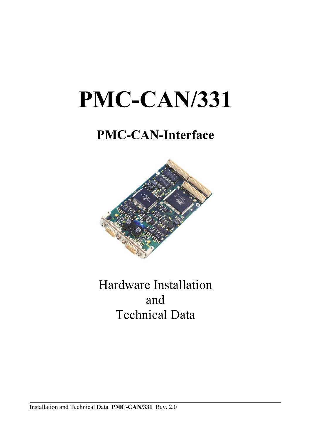# **PMC-CAN/331**

# **PMC-CAN-Interface**



Hardware Installation and Technical Data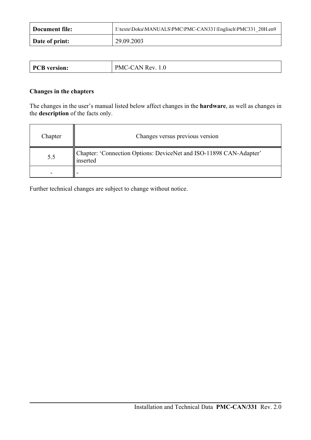| Document file: | I:\texte\Doku\MANUALS\PMC\PMC-CAN331\Englisch\PMC331_20H.en9 |
|----------------|--------------------------------------------------------------|
| Date of print: | 29.09.2003                                                   |

| PCR<br><b>PCB</b> version: | $DMC$ .<br>$\Lambda'$ $\Lambda$<br><b>Rev</b><br>--<br>1.0<br>$\sim$ |
|----------------------------|----------------------------------------------------------------------|
|                            |                                                                      |

#### **Changes in the chapters**

The changes in the user's manual listed below affect changes in the **hardware**, as well as changes in the **description** of the facts only.

| Chapter | Changes versus previous version                                                |
|---------|--------------------------------------------------------------------------------|
| 5.5     | Chapter: 'Connection Options: DeviceNet and ISO-11898 CAN-Adapter'<br>inserted |
| -       |                                                                                |

Further technical changes are subject to change without notice.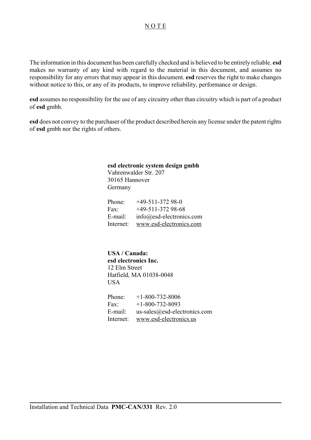#### N O T E

The information in this document has been carefully checked and is believed to be entirely reliable. **esd** makes no warranty of any kind with regard to the material in this document, and assumes no responsibility for any errors that may appear in this document. **esd** reserves the right to make changes without notice to this, or any of its products, to improve reliability, performance or design.

**esd** assumes no responsibility for the use of any circuitry other than circuitry which is part of a product of **esd** gmbh.

**esd** does not convey to the purchaser of the product described herein any license under the patent rights of **esd** gmbh nor the rights of others.

#### **esd electronic system design gmbh**

Vahrenwalder Str. 207 30165 Hannover Germany

| Phone:    | $+49-511-37298-0$          |
|-----------|----------------------------|
| Fax:      | $+49-511-37298-68$         |
| E-mail:   | $info@esd-electronics.com$ |
| Internet: | www.esd-electronics.com    |

**USA / Canada: esd electronics Inc.** 12 Elm Street Hatfield, MA 01038-0048 USA

| Phone:     | $+1 - 800 - 732 - 8006$      |
|------------|------------------------------|
| Fax:       | $+1 - 800 - 732 - 8093$      |
| $E$ -mail: | us-sales@esd-electronics.com |
| Internet:  | www.esd-electronics.us       |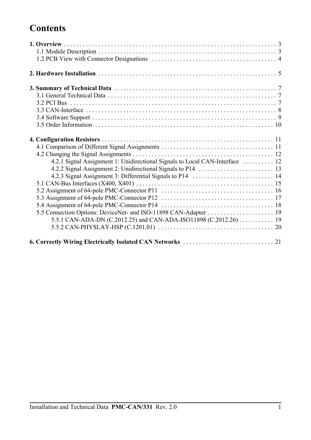# **Contents**

| 4.2.1 Signal Assignment 1: Unidirectional Signals to Local CAN-Interface  12 |  |
|------------------------------------------------------------------------------|--|
|                                                                              |  |
|                                                                              |  |
|                                                                              |  |
|                                                                              |  |
|                                                                              |  |
|                                                                              |  |
|                                                                              |  |
| 5.5.1 CAN-ADA-DN (C.2012.25) and CAN-ADA-ISO11898 (C.2012.26) 19             |  |
|                                                                              |  |
|                                                                              |  |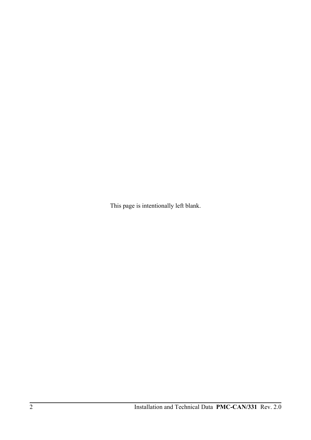This page is intentionally left blank.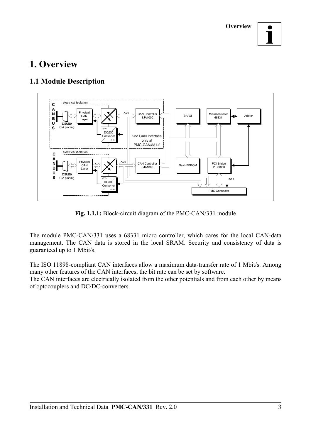

# **1. Overview**

## **1.1 Module Description**



**Fig. 1.1.1:** Block-circuit diagram of the PMC-CAN/331 module

The module PMC-CAN/331 uses a 68331 micro controller, which cares for the local CAN-data management. The CAN data is stored in the local SRAM. Security and consistency of data is guaranteed up to 1 Mbit/s.

The ISO 11898-compliant CAN interfaces allow a maximum data-transfer rate of 1 Mbit/s. Among many other features of the CAN interfaces, the bit rate can be set by software.

The CAN interfaces are electrically isolated from the other potentials and from each other by means of optocouplers and DC/DC-converters.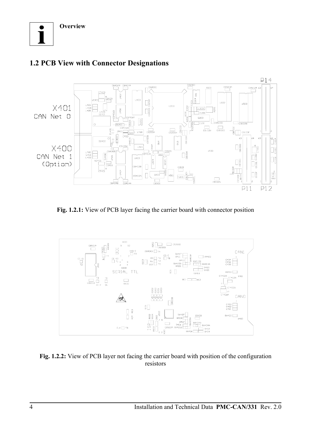

## **1.2 PCB View with Connector Designations**

**Fig. 1.2.1:** View of PCB layer facing the carrier board with connector position



**Fig. 1.2.2:** View of PCB layer not facing the carrier board with position of the configuration resistors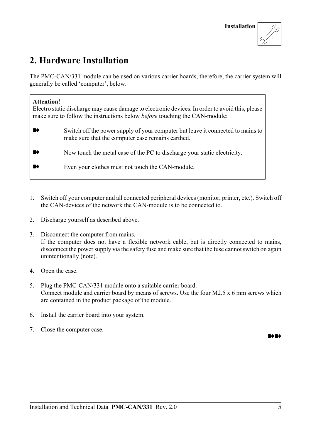# **2. Hardware Installation**

The PMC-CAN/331 module can be used on various carrier boards, therefore, the carrier system will generally be called 'computer', below.

#### **Attention!**

Electro static discharge may cause damage to electronic devices. In order to avoid this, please make sure to follow the instructions below *before* touching the CAN-module:

- Switch off the power supply of your computer but leave it connected to mains to make sure that the computer case remains earthed.
- Now touch the metal case of the PC to discharge your static electricity.
- Even your clothes must not touch the CAN-module.
- 1. Switch off your computer and all connected peripheral devices (monitor, printer, etc.). Switch off the CAN-devices of the network the CAN-module is to be connected to.
- 2. Discharge yourself as described above.
- 3. Disconnect the computer from mains. If the computer does not have a flexible network cable, but is directly connected to mains, disconnect the power supply via the safety fuse and make sure that the fuse cannot switch on again unintentionally (note).
- 4. Open the case.
- 5. Plug the PMC-CAN/331 module onto a suitable carrier board. Connect module and carrier board by means of screws. Use the four M2.5 x 6 mm screws which are contained in the product package of the module.
- 6. Install the carrier board into your system.
- 7. Close the computer case.

 $B \rightarrow B +$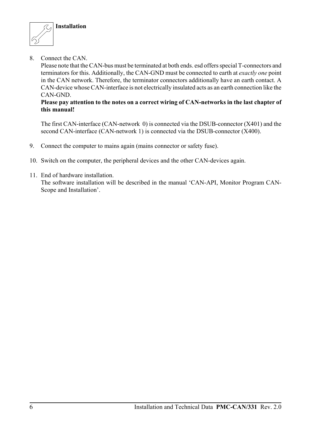

8. Connect the CAN.

Please note that the CAN-bus must be terminated at both ends. esd offers special T-connectors and terminators for this. Additionally, the CAN-GND must be connected to earth at *exactly one* point in the CAN network. Therefore, the terminator connectors additionally have an earth contact. A CAN-device whose CAN-interface is not electrically insulated acts as an earth connection like the CAN-GND.

#### **Please pay attention to the notes on a correct wiring of CAN-networks in the last chapter of this manual!**

The first CAN-interface (CAN-network 0) is connected via the DSUB-connector (X401) and the second CAN-interface (CAN-network 1) is connected via the DSUB-connector (X400).

- 9. Connect the computer to mains again (mains connector or safety fuse).
- 10. Switch on the computer, the peripheral devices and the other CAN-devices again.
- 11. End of hardware installation. The software installation will be described in the manual 'CAN-API, Monitor Program CAN-Scope and Installation'.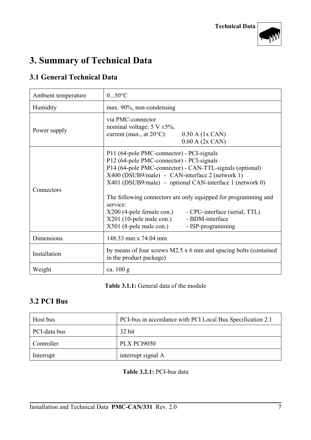

# **3. Summary of Technical Data**

## **3.1 General Technical Data**

| Ambient temperature | $050$ °C                                                                                                                                                                                                                                                                                                                                                                                                                                                                                                         |  |
|---------------------|------------------------------------------------------------------------------------------------------------------------------------------------------------------------------------------------------------------------------------------------------------------------------------------------------------------------------------------------------------------------------------------------------------------------------------------------------------------------------------------------------------------|--|
| Humidity            | max. 90%, non-condensing                                                                                                                                                                                                                                                                                                                                                                                                                                                                                         |  |
| Power supply        | via PMC-connector<br>nominal voltage: $5 \text{ V } \pm 5\%,$<br>current (max., at $20^{\circ}$ C):<br>0.50 A (1x CAN)<br>0.60 A (2x CAN)                                                                                                                                                                                                                                                                                                                                                                        |  |
| Connectors          | P11 (64-pole PMC-connector) - PCI-signals<br>P12 (64-pole PMC-connector) - PCI-signals<br>P14 (64-pole PMC-connector) - CAN-TTL-signals (optional)<br>X400 (DSUB9/male) - CAN-interface 2 (network 1)<br>X401 (DSUB9/male) - optional CAN-interface 1 (network 0)<br>The following connectors are only equipped for programming and<br>service:<br>X200 (4-pole female con.)<br>- CPU-interface (serial, TTL)<br>- BDM-interface<br>$X201$ (10-pole male con.)<br>$X501$ (8-pole male con.)<br>- ISP-programming |  |
| Dimensions          | 148.33 mm x 74.04 mm                                                                                                                                                                                                                                                                                                                                                                                                                                                                                             |  |
| Installation        | by means of four screws $M2.5 \times 6$ mm and spacing bolts (contained<br>in the product package)                                                                                                                                                                                                                                                                                                                                                                                                               |  |
| Weight              | ca. 100 g                                                                                                                                                                                                                                                                                                                                                                                                                                                                                                        |  |

**Table 3.1.1:** General data of the module

## **3.2 PCI Bus**

| Host bus     | PCI-bus in accordance with PCI Local Bus Specification 2.1 |
|--------------|------------------------------------------------------------|
| PCI-data bus | 32 bit                                                     |
| Controller   | PLX PCI9050                                                |
| Interrupt    | interrupt signal A                                         |

**Table 3.2.1:** PCI-bus data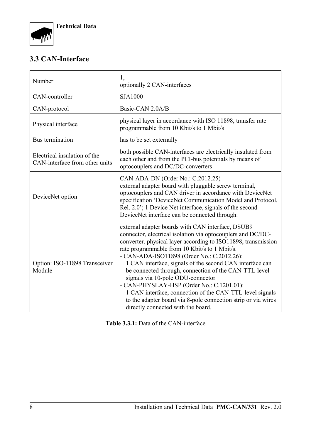

| Number                                                         | 1,<br>optionally 2 CAN-interfaces                                                                                                                                                                                                                                                                                                                                                                                                                                                                                                                                                                                                                          |  |
|----------------------------------------------------------------|------------------------------------------------------------------------------------------------------------------------------------------------------------------------------------------------------------------------------------------------------------------------------------------------------------------------------------------------------------------------------------------------------------------------------------------------------------------------------------------------------------------------------------------------------------------------------------------------------------------------------------------------------------|--|
| CAN-controller                                                 | <b>SJA1000</b>                                                                                                                                                                                                                                                                                                                                                                                                                                                                                                                                                                                                                                             |  |
| CAN-protocol                                                   | Basic-CAN 2.0A/B                                                                                                                                                                                                                                                                                                                                                                                                                                                                                                                                                                                                                                           |  |
| Physical interface                                             | physical layer in accordance with ISO 11898, transfer rate<br>programmable from 10 Kbit/s to 1 Mbit/s                                                                                                                                                                                                                                                                                                                                                                                                                                                                                                                                                      |  |
| Bus termination                                                | has to be set externally                                                                                                                                                                                                                                                                                                                                                                                                                                                                                                                                                                                                                                   |  |
| Electrical insulation of the<br>CAN-interface from other units | both possible CAN-interfaces are electrically insulated from<br>each other and from the PCI-bus potentials by means of<br>optocouplers and DC/DC-converters                                                                                                                                                                                                                                                                                                                                                                                                                                                                                                |  |
| DeviceNet option                                               | CAN-ADA-DN (Order No.: C.2012.25)<br>external adapter board with pluggable screw terminal,<br>optocouplers and CAN driver in accordance with DeviceNet<br>specification 'DeviceNet Communication Model and Protocol,<br>Rel. 2.0'; 1 Device Net interface, signals of the second<br>DeviceNet interface can be connected through.                                                                                                                                                                                                                                                                                                                          |  |
| Option: ISO-11898 Transceiver<br>Module                        | external adapter boards with CAN interface, DSUB9<br>connector, electrical isolation via optocouplers and DC/DC-<br>converter, physical layer according to ISO11898, transmission<br>rate programmable from 10 Kbit/s to 1 Mbit/s.<br>- CAN-ADA-ISO11898 (Order No.: C.2012.26):<br>1 CAN interface, signals of the second CAN interface can<br>be connected through, connection of the CAN-TTL-level<br>signals via 10-pole ODU-connector<br>- CAN-PHYSLAY-HSP (Order No.: C.1201.01):<br>1 CAN interface, connection of the CAN-TTL-level signals<br>to the adapter board via 8-pole connection strip or via wires<br>directly connected with the board. |  |

**Table 3.3.1:** Data of the CAN-interface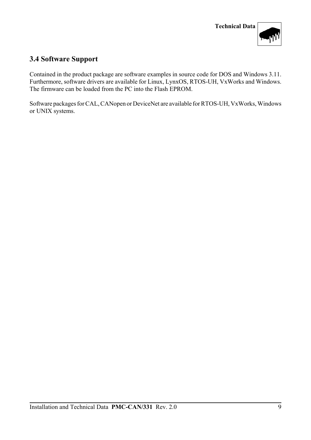

## **3.4 Software Support**

Contained in the product package are software examples in source code for DOS and Windows 3.11. Furthermore, software drivers are available for Linux, LynxOS, RTOS-UH, VxWorks and Windows. The firmware can be loaded from the PC into the Flash EPROM.

Software packages for CAL, CANopen or DeviceNet are available for RTOS-UH, VxWorks, Windows or UNIX systems.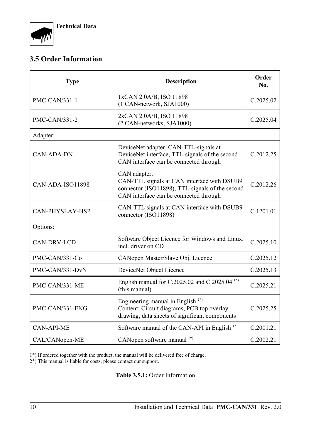## **3.5 Order Information**

| <b>Type</b>            | <b>Description</b>                                                                                                                                       | Order<br>No. |
|------------------------|----------------------------------------------------------------------------------------------------------------------------------------------------------|--------------|
| PMC-CAN/331-1          | 1xCAN 2.0A/B, ISO 11898<br>(1 CAN-network, SJA1000)                                                                                                      | C.2025.02    |
| PMC-CAN/331-2          | 2xCAN 2.0A/B, ISO 11898<br>(2 CAN-networks, SJA1000)                                                                                                     | C.2025.04    |
| Adapter:               |                                                                                                                                                          |              |
| <b>CAN-ADA-DN</b>      | DeviceNet adapter, CAN-TTL-signals at<br>DeviceNet interface, TTL-signals of the second<br>CAN interface can be connected through                        | C.2012.25    |
| CAN-ADA-ISO11898       | CAN adapter,<br>CAN-TTL signals at CAN interface with DSUB9<br>connector (ISO11898), TTL-signals of the second<br>CAN interface can be connected through | C.2012.26    |
| <b>CAN-PHYSLAY-HSP</b> | CAN-TTL signals at CAN interface with DSUB9<br>connector (ISO11898)                                                                                      | C.1201.01    |
| Options:               |                                                                                                                                                          |              |
| <b>CAN-DRV-LCD</b>     | Software Object Licence for Windows and Linux,<br>incl. driver on CD                                                                                     | C.2025.10    |
| PMC-CAN/331-Co         | CANopen Master/Slave Obj. Licence                                                                                                                        | C.2025.12    |
| PMC-CAN/331-DvN        | DeviceNet Object Licence                                                                                                                                 | C.2025.13    |
| PMC-CAN/331-ME         | English manual for C.2025.02 and C.2025.04 <sup>1*</sup><br>(this manual)                                                                                | C.2025.21    |
| PMC-CAN/331-ENG        | Engineering manual in English $2^*$<br>Content: Circuit diagrams, PCB top overlay<br>drawing, data sheets of significant components                      | C.2025.25    |
| <b>CAN-API-ME</b>      | Software manual of the CAN-API in English <sup>1*</sup> )                                                                                                | C.2001.21    |
| CAL/CANopen-ME         | CANopen software manual <sup>1*</sup>                                                                                                                    | C.2002.21    |

1\*) If ordered together with the product, the manual will be delivered free of charge.

2\*) This manual is liable for costs, please contact our support.

**Table 3.5.1:** Order Information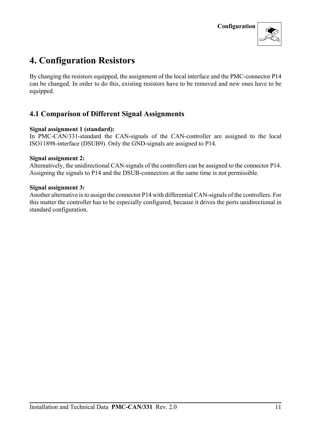

# **4. Configuration Resistors**

By changing the resistors equipped, the assignment of the local interface and the PMC-connector P14 can be changed. In order to do this, existing resistors have to be removed and new ones have to be equipped.

## **4.1 Comparison of Different Signal Assignments**

#### **Signal assignment 1 (standard):**

In PMC-CAN/331-standard the CAN-signals of the CAN-controller are assigned to the local ISO11898-interface (DSUB9). Only the GND-signals are assigned to P14.

#### **Signal assignment 2:**

Alternatively, the unidirectional CAN-signals of the controllers can be assigned to the connector P14. Assigning the signals to P14 and the DSUB-connectors at the same time is not permissible.

#### **Signal assignment 3:**

Another alternative is to assign the connector P14 with differential CAN-signals of the controllers. For this matter the controller has to be especially configured, because it drives the ports unidirectional in standard configuration.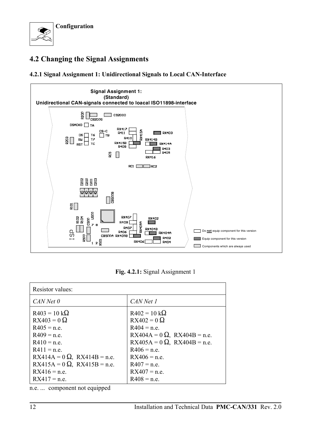

## **4.2 Changing the Signal Assignments**

#### **4.2.1 Signal Assignment 1: Unidirectional Signals to Local CAN-Interface**



**Fig. 4.2.1:** Signal Assignment 1

| <b>Resistor</b> values:                                                                                                                                                                                                               |                                                                                                                                                                                                                                       |
|---------------------------------------------------------------------------------------------------------------------------------------------------------------------------------------------------------------------------------------|---------------------------------------------------------------------------------------------------------------------------------------------------------------------------------------------------------------------------------------|
| $CAN$ Net $0$                                                                                                                                                                                                                         | CAN Net 1                                                                                                                                                                                                                             |
| $R403 = 10 k\Omega$<br>$RX403 = 0$ $\Omega$<br>$R405 = n.e.$<br>$R409 = n.e.$<br>$R410 = n.e.$<br>$R411 = n.e.$<br>$RX414A = 0 \Omega$ , $RX414B = n.e.$<br>$RX415A = 0 \Omega$ , $RX415B = n.e.$<br>$RX416 = n.e.$<br>$RX417 = n.e.$ | $R402 = 10 k\Omega$<br>$RX402 = 0$ $\Omega$<br>$R404 = n.e.$<br>$RX404A = 0 \Omega$ , $RX404B = n.e.$<br>$RX405A = 0 \Omega$ , $RX404B = n.e.$<br>$R406 = n.e.$<br>$RX406 = n.e.$<br>$R407 = n.e.$<br>$RX407 = n.e.$<br>$R408 = n.e.$ |

n.e. ... component not equipped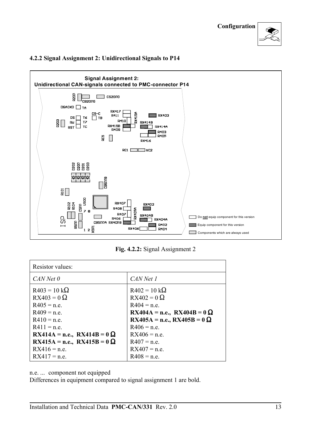





**Fig. 4.2.2:** Signal Assignment 2

| Resistor values:                                                                                                                                                                                |                                                                                                                                                                                                  |  |
|-------------------------------------------------------------------------------------------------------------------------------------------------------------------------------------------------|--------------------------------------------------------------------------------------------------------------------------------------------------------------------------------------------------|--|
| CAN Net 0                                                                                                                                                                                       | CAN Net 1                                                                                                                                                                                        |  |
| $R403 = 10 k\Omega$<br>$RX403 = 0$ $\Omega$<br>$R405 = n.e.$<br>$R409 = n.e.$<br>$R410 = n.e.$<br>$R411 = n.e.$<br>$RX414A = n.e., RX414B = 0$<br>$RX415A = n.e., RX415B = 0$<br>$RX416 = n.e.$ | $R402 = 10 k\Omega$<br>$RX402 = 0$ $\Omega$<br>$R404 = n.e.$<br>$RX404A = n.e., RX404B = 0$<br>$RX405A = n.e., RX405B = 0$<br>$R406 = n.e.$<br>$RX406 = n.e.$<br>$R407 = n.e.$<br>$RX407 = n.e.$ |  |
| $RX417 = n.e.$                                                                                                                                                                                  | $R408 = n.e.$                                                                                                                                                                                    |  |

n.e. ... component not equipped

Differences in equipment compared to signal assignment 1 are bold.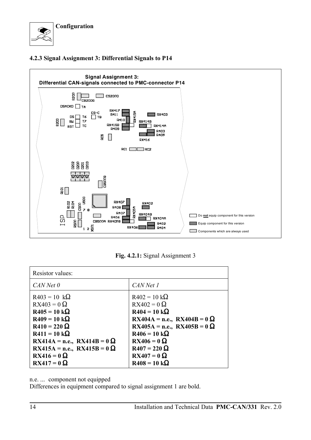

#### **4.2.3 Signal Assignment 3: Differential Signals to P14**



**Fig. 4.2.1:** Signal Assignment 3

| Resistor values:            |                             |
|-----------------------------|-----------------------------|
| $CAN$ Net $0$               | CAN Net 1                   |
| $R403 = 10 \text{ k}\Omega$ | $R402 = 10 k\Omega$         |
| $RX403 = 0$ $\Omega$        | $RX402 = 0$ $\Omega$        |
| $R405 = 10 k\Omega$         | $R404 = 10 \text{ k}\Omega$ |
| $R409 = 10 k\Omega$         | $RX404A = n.e., RX404B = 0$ |
| $R410 = 220 \Omega$         | $RX405A = n.e., RX405B = 0$ |
| $R411 = 10 k\Omega$         | $R406 = 10 \text{ k}\Omega$ |
| $RX414A = n.e., RX414B = 0$ | $RX406 = 0$ $\Omega$        |
| $RX415A = n.e., RX415B = 0$ | $R407 = 220 \Omega$         |
| $RX416 = 0$ $\Omega$        | $RX407 = 0$ $\Omega$        |
| $RX417 = 0$ $\Omega$        | $R408 = 10 k\Omega$         |

n.e. ... component not equipped

Differences in equipment compared to signal assignment 1 are bold.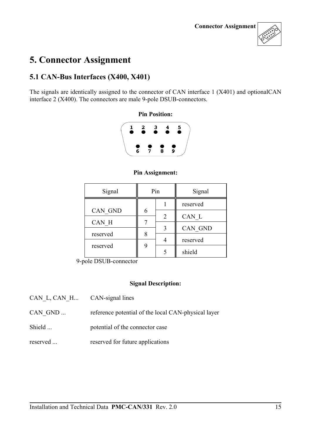

## **5. Connector Assignment**

### **5.1 CAN-Bus Interfaces (X400, X401)**

The signals are identically assigned to the connector of CAN interface 1 (X401) and optionalCAN interface 2 (X400). The connectors are male 9-pole DSUB-connectors.

| $\bullet$ | $\overline{\mathbf{z}}$<br>$\bullet$ | $\ddot{\bullet}$ | 4<br>●         | 5<br>$\overline{\phantom{0}}$ |  |
|-----------|--------------------------------------|------------------|----------------|-------------------------------|--|
| ۰<br>6    |                                      | $\frac{•}{7}$    | $\bullet$<br>8 | п<br>9                        |  |

| Pin Assignment: |     |                |          |  |  |
|-----------------|-----|----------------|----------|--|--|
| Signal          | Pin |                | Signal   |  |  |
|                 |     |                | reserved |  |  |
| CAN GND         | 6   | $\overline{2}$ | CAN L    |  |  |
| CAN H           | 7   |                |          |  |  |
|                 |     | 3              | CAN GND  |  |  |
| reserved        | 8   |                | reserved |  |  |
| reserved        | 9   |                |          |  |  |
|                 |     |                | shield   |  |  |

#### **Pin Assignment:**

9-pole DSUB-connector

#### **Signal Description:**

| CAN L, CAN H CAN-signal lines |                                                     |
|-------------------------------|-----------------------------------------------------|
| CAN GND                       | reference potential of the local CAN-physical layer |
| Shield                        | potential of the connector case                     |
| reserved                      | reserved for future applications                    |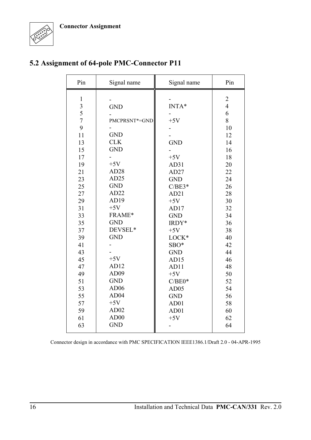

| Pin                     | Signal name      | Signal name | Pin            |
|-------------------------|------------------|-------------|----------------|
| $\mathbf{1}$            |                  |             | $\overline{c}$ |
| $\overline{\mathbf{3}}$ | <b>GND</b>       | INTA*       | $\overline{4}$ |
| 5                       |                  |             | 6              |
| $\overline{7}$          | PMCPRSNT*=GND    | $+5V$       | 8              |
| 9                       |                  |             | 10             |
| 11                      | <b>GND</b>       |             | 12             |
| 13                      | <b>CLK</b>       | <b>GND</b>  | 14             |
| 15                      | <b>GND</b>       |             | 16             |
| 17                      |                  | $+5V$       | 18             |
| 19                      | $+5V$            | AD31        | 20             |
| 21                      | AD28             | AD27        | 22             |
| 23                      | AD25             | <b>GND</b>  | 24             |
| 25                      | <b>GND</b>       | $C/BE3*$    | 26             |
| 27                      | AD22             | AD21        | 28             |
| 29                      | AD19             | $+5V$       | 30             |
| 31                      | $+5V$            | AD17        | 32             |
| 33                      | FRAME*           | <b>GND</b>  | 34             |
| 35                      | <b>GND</b>       | IRDY*       | 36             |
| 37                      | DEVSEL*          | $+5V$       | 38             |
| 39                      | <b>GND</b>       | LOCK*       | 40             |
| 41                      |                  | SBO*        | 42             |
| 43                      |                  | <b>GND</b>  | 44             |
| 45                      | $+5V$            | AD15        | 46             |
| 47                      | AD12             | AD11        | 48             |
| 49                      | AD09             | $+5V$       | 50             |
| 51                      | <b>GND</b>       | $C/BE0*$    | 52             |
| 53                      | AD06             | AD05        | 54             |
| 55                      | AD <sub>04</sub> | <b>GND</b>  | 56             |
| 57                      | $+5V$            | AD01        | 58             |
| 59                      | AD02             | AD01        | 60             |
| 61                      | AD00             | $+5V$       | 62             |
| 63                      | <b>GND</b>       |             | 64             |

## **5.2 Assignment of 64-pole PMC-Connector P11**

Connector design in accordance with PMC SPECIFICATION IEEE1386.1/Draft 2.0 - 04-APR-1995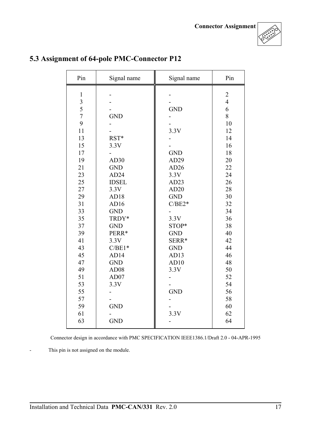

| Pin                     | Signal name      | Signal name | Pin            |
|-------------------------|------------------|-------------|----------------|
| $\mathbf{1}$            |                  |             | $\sqrt{2}$     |
| $\overline{\mathbf{3}}$ |                  |             | $\overline{4}$ |
| $\overline{5}$          |                  | <b>GND</b>  | 6              |
| $\overline{7}$          | <b>GND</b>       |             | 8              |
| 9                       |                  |             | 10             |
| 11                      |                  | 3.3V        | 12             |
| 13                      | RST*             |             | 14             |
| 15                      | 3.3V             |             | 16             |
| 17                      |                  | <b>GND</b>  | 18             |
| 19                      | AD30             | AD29        | 20             |
| 21                      | <b>GND</b>       | AD26        | 22             |
| 23                      | AD24             | 3.3V        | 24             |
| 25                      | <b>IDSEL</b>     | AD23        | 26             |
| 27                      | 3.3V             | AD20        | 28             |
| 29                      | AD18             | <b>GND</b>  | 30             |
| 31                      | AD16             | $C/BE2*$    | 32             |
| 33                      | <b>GND</b>       |             | 34             |
| 35                      | TRDY*            | 3.3V        | 36             |
| 37                      | <b>GND</b>       | STOP*       | 38             |
| 39                      | PERR*            | <b>GND</b>  | 40             |
| 41                      | 3.3V             | SERR*       | 42             |
| 43                      | $C/BE1*$         | <b>GND</b>  | 44             |
| 45                      | AD14             | AD13        | 46             |
| 47                      | <b>GND</b>       | AD10        | 48             |
| 49                      | AD <sub>08</sub> | 3.3V        | 50             |
| 51                      | AD07             |             | 52             |
| 53                      | 3.3V             |             | 54             |
| 55                      |                  | <b>GND</b>  | 56             |
| 57                      |                  |             | 58             |
| 59                      | <b>GND</b>       |             | 60             |
| 61                      |                  | 3.3V        | 62             |
| 63                      | <b>GND</b>       |             | 64             |

## **5.3 Assignment of 64-pole PMC-Connector P12**

Connector design in accordance with PMC SPECIFICATION IEEE1386.1/Draft 2.0 - 04-APR-1995

- This pin is not assigned on the module.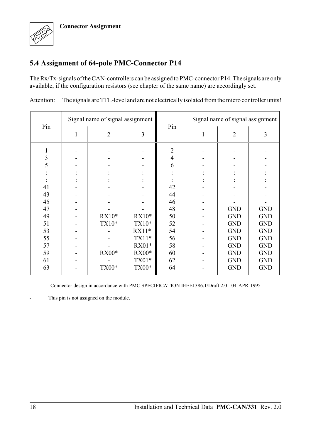

## **5.4 Assignment of 64-pole PMC-Connector P14**

The Rx/Tx-signals of the CAN-controllers can be assigned to PMC-connector P14. The signals are only available, if the configuration resistors (see chapter of the same name) are accordingly set.

Attention: The signals are TTL-level and are not electrically isolated from the micro controller units!

|          | Signal name of signal assignment |                |         | Signal name of signal assignment |  |                |            |
|----------|----------------------------------|----------------|---------|----------------------------------|--|----------------|------------|
| Pin      |                                  | $\overline{2}$ | 3       | Pin                              |  | $\overline{2}$ | 3          |
| 3        |                                  |                |         | $\overline{2}$<br>$\overline{4}$ |  |                |            |
| 5        |                                  |                |         | 6                                |  |                |            |
|          |                                  |                |         |                                  |  |                |            |
| 41       |                                  |                |         | 42                               |  |                |            |
| 43       |                                  |                |         | 44                               |  |                |            |
| 45<br>47 |                                  |                |         | 46<br>48                         |  | <b>GND</b>     | <b>GND</b> |
| 49       |                                  | RX10*          | RX10*   | 50                               |  | <b>GND</b>     | <b>GND</b> |
| 51       |                                  | TX10*          | TX10*   | 52                               |  | <b>GND</b>     | <b>GND</b> |
| 53       |                                  |                | $RX11*$ | 54                               |  | <b>GND</b>     | <b>GND</b> |
| 55       |                                  |                | $TX11*$ | 56                               |  | <b>GND</b>     | <b>GND</b> |
| 57       |                                  |                | $RX01*$ | 58                               |  | <b>GND</b>     | <b>GND</b> |
| 59       |                                  | $RX00*$        | RX00*   | 60                               |  | <b>GND</b>     | <b>GND</b> |
| 61       |                                  |                | $TX01*$ | 62                               |  | <b>GND</b>     | <b>GND</b> |
| 63       |                                  | TX00*          | TX00*   | 64                               |  | <b>GND</b>     | <b>GND</b> |

Connector design in accordance with PMC SPECIFICATION IEEE1386.1/Draft 2.0 - 04-APR-1995

- This pin is not assigned on the module.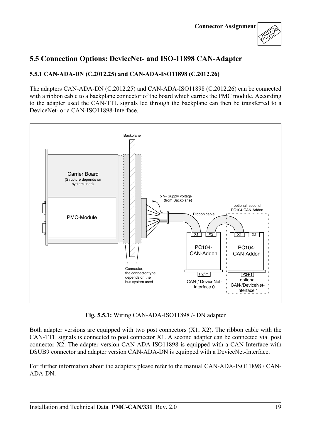

### **5.5 Connection Options: DeviceNet- and ISO-11898 CAN-Adapter**

#### **5.5.1 CAN-ADA-DN (C.2012.25) and CAN-ADA-ISO11898 (C.2012.26)**

The adapters CAN-ADA-DN (C.2012.25) and CAN-ADA-ISO11898 (C.2012.26) can be connected with a ribbon cable to a backplane connector of the board which carries the PMC module. According to the adapter used the CAN-TTL signals led through the backplane can then be transferred to a DeviceNet- or a CAN-ISO11898-Interface.



**Fig. 5.5.1:** Wiring CAN-ADA-ISO11898 /- DN adapter

Both adapter versions are equipped with two post connectors (X1, X2). The ribbon cable with the CAN-TTL signals is connected to post connector X1. A second adapter can be connected via post connector X2. The adapter version CAN-ADA-ISO11898 is equipped with a CAN-Interface with DSUB9 connector and adapter version CAN-ADA-DN is equipped with a DeviceNet-Interface.

For further information about the adapters please refer to the manual CAN-ADA-ISO11898 / CAN-ADA-DN.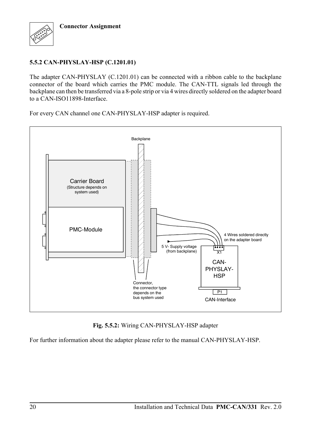

#### **5.5.2 CAN-PHYSLAY-HSP (C.1201.01)**

The adapter CAN-PHYSLAY (C.1201.01) can be connected with a ribbon cable to the backplane connector of the board which carries the PMC module. The CAN-TTL signals led through the backplane can then be transferred via a 8-pole strip or via 4 wires directly soldered on the adapter board to a CAN-ISO11898-Interface.

For every CAN channel one CAN-PHYSLAY-HSP adapter is required.



**Fig. 5.5.2:** Wiring CAN-PHYSLAY-HSP adapter

For further information about the adapter please refer to the manual CAN-PHYSLAY-HSP.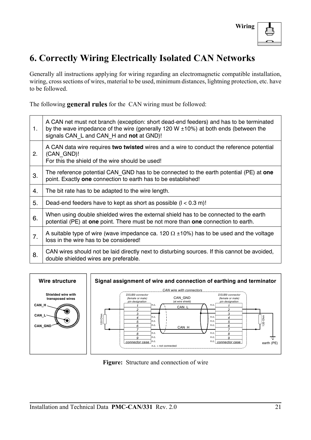# **6. Correctly Wiring Electrically Isolated CAN Networks**

Generally all instructions applying for wiring regarding an electromagnetic compatible installation, wiring, cross sections of wires, material to be used, minimum distances, lightning protection, etc. have to be followed.

The following **general rules** for the CAN wiring must be followed:

| 1. | A CAN net must not branch (exception: short dead-end feeders) and has to be terminated<br>by the wave impedance of the wire (generally 120 W $\pm$ 10%) at both ends (between the<br>signals CAN L and CAN H and not at GND)! |
|----|-------------------------------------------------------------------------------------------------------------------------------------------------------------------------------------------------------------------------------|
| 2. | A CAN data wire requires two twisted wires and a wire to conduct the reference potential<br>(CAN GND)!<br>For this the shield of the wire should be used!                                                                     |
| 3. | The reference potential CAN GND has to be connected to the earth potential (PE) at one<br>point. Exactly one connection to earth has to be established!                                                                       |
| 4. | The bit rate has to be adapted to the wire length.                                                                                                                                                                            |
| 5. | Dead-end feeders have to kept as short as possible $(l < 0.3 m)!$                                                                                                                                                             |
| 6. | When using double shielded wires the external shield has to be connected to the earth<br>potential (PE) at one point. There must be not more than one connection to earth.                                                    |
| 7. | A suitable type of wire (wave impedance ca. 120 $\Omega$ ±10%) has to be used and the voltage<br>loss in the wire has to be considered!                                                                                       |
| 8. | CAN wires should not be laid directly next to disturbing sources. If this cannot be avoided,<br>double shielded wires are preferable.                                                                                         |





**Figure:** Structure and connection of wire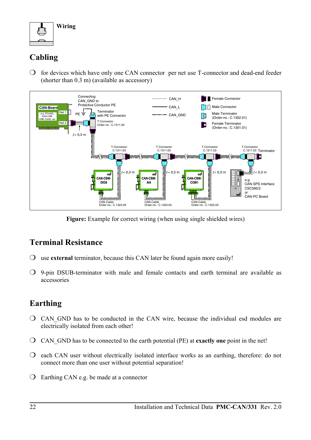

## **Cabling**

 $\overline{O}$  for devices which have only one CAN connector per net use T-connector and dead-end feeder (shorter than 0.3 m) (available as accessory)



**Figure:** Example for correct wiring (when using single shielded wires)

# **Terminal Resistance**

- $\Omega$  use **external** terminator, because this CAN later be found again more easily!
- 9-pin DSUB-terminator with male and female contacts and earth terminal are available as accessories

# **Earthing**

- $\overline{O}$  CAN GND has to be conducted in the CAN wire, because the individual esd modules are electrically isolated from each other!
- CAN\_GND has to be connected to the earth potential (PE) at **exactly one** point in the net!
- $\overline{O}$  each CAN user without electrically isolated interface works as an earthing, therefore: do not connect more than one user without potential separation!
- $\bigcirc$  Earthing CAN e.g. be made at a connector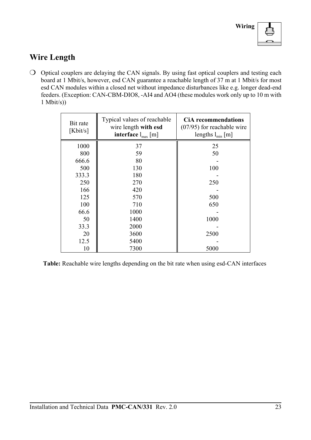## **Wire Length**

 $\overline{O}$  Optical couplers are delaying the CAN signals. By using fast optical couplers and testing each board at 1 Mbit/s, however, esd CAN guarantee a reachable length of 37 m at 1 Mbit/s for most esd CAN modules within a closed net without impedance disturbances like e.g. longer dead-end feeders. (Exception: CAN-CBM-DIO8, -AI4 and AO4 (these modules work only up to 10 m with 1 Mbit/s $)$ 

| Bit rate<br>[Kbit/s] | Typical values of reachable<br>wire length with esd<br>interface $l_{max}$ [m] | <b>CiA</b> recommendations<br>$(07/95)$ for reachable wire<br>lengths $l_{\min}$ [m] |
|----------------------|--------------------------------------------------------------------------------|--------------------------------------------------------------------------------------|
| 1000                 | 37                                                                             | 25                                                                                   |
| 800                  | 59                                                                             | 50                                                                                   |
| 666.6                | 80                                                                             |                                                                                      |
| 500                  | 130                                                                            | 100                                                                                  |
| 333.3                | 180                                                                            |                                                                                      |
| 250                  | 270                                                                            | 250                                                                                  |
| 166                  | 420                                                                            |                                                                                      |
| 125                  | 570                                                                            | 500                                                                                  |
| 100                  | 710                                                                            | 650                                                                                  |
| 66.6                 | 1000                                                                           |                                                                                      |
| 50                   | 1400                                                                           | 1000                                                                                 |
| 33.3                 | 2000                                                                           |                                                                                      |
| 20                   | 3600                                                                           | 2500                                                                                 |
| 12.5                 | 5400                                                                           |                                                                                      |
| 10                   | 7300                                                                           | 5000                                                                                 |

**Table:** Reachable wire lengths depending on the bit rate when using esd-CAN interfaces